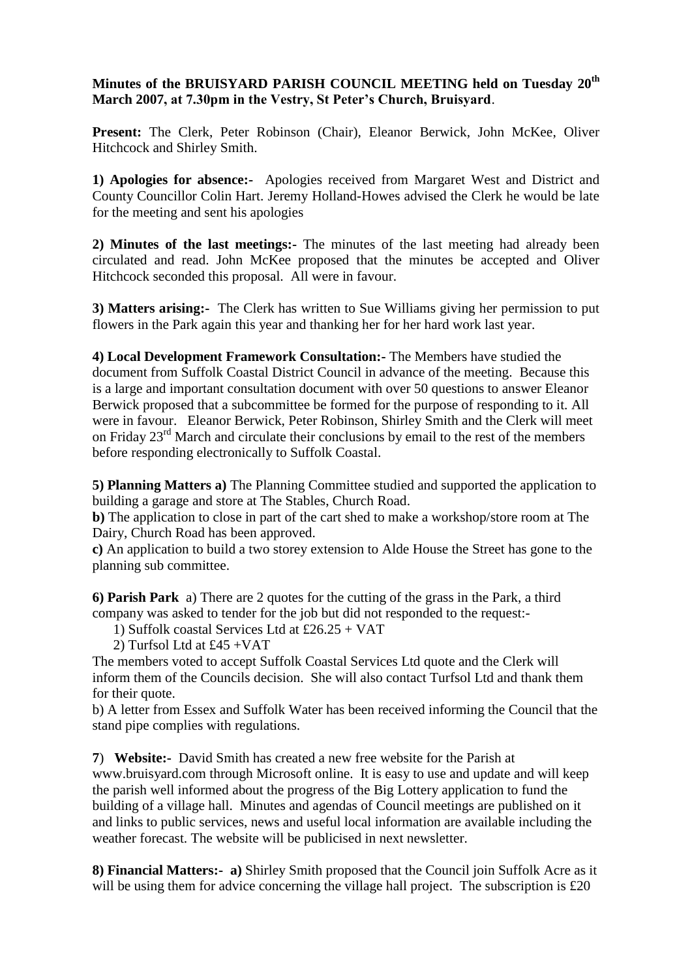## **Minutes of the BRUISYARD PARISH COUNCIL MEETING held on Tuesday 20th March 2007, at 7.30pm in the Vestry, St Peter's Church, Bruisyard**.

**Present:** The Clerk, Peter Robinson (Chair), Eleanor Berwick, John McKee, Oliver Hitchcock and Shirley Smith.

**1) Apologies for absence:-** Apologies received from Margaret West and District and County Councillor Colin Hart. Jeremy Holland-Howes advised the Clerk he would be late for the meeting and sent his apologies

**2) Minutes of the last meetings:-** The minutes of the last meeting had already been circulated and read. John McKee proposed that the minutes be accepted and Oliver Hitchcock seconded this proposal. All were in favour.

**3) Matters arising:-** The Clerk has written to Sue Williams giving her permission to put flowers in the Park again this year and thanking her for her hard work last year.

**4) Local Development Framework Consultation:-** The Members have studied the document from Suffolk Coastal District Council in advance of the meeting. Because this is a large and important consultation document with over 50 questions to answer Eleanor Berwick proposed that a subcommittee be formed for the purpose of responding to it. All were in favour. Eleanor Berwick, Peter Robinson, Shirley Smith and the Clerk will meet on Friday 23<sup>rd</sup> March and circulate their conclusions by email to the rest of the members before responding electronically to Suffolk Coastal.

**5) Planning Matters a)** The Planning Committee studied and supported the application to building a garage and store at The Stables, Church Road.

**b)** The application to close in part of the cart shed to make a workshop/store room at The Dairy, Church Road has been approved.

**c)** An application to build a two storey extension to Alde House the Street has gone to the planning sub committee.

**6) Parish Park** a) There are 2 quotes for the cutting of the grass in the Park, a third company was asked to tender for the job but did not responded to the request:-

1) Suffolk coastal Services Ltd at £26.25 + VAT

2) Turfsol Ltd at £45 +VAT

The members voted to accept Suffolk Coastal Services Ltd quote and the Clerk will inform them of the Councils decision. She will also contact Turfsol Ltd and thank them for their quote.

b) A letter from Essex and Suffolk Water has been received informing the Council that the stand pipe complies with regulations.

**7**) **Website:-** David Smith has created a new free website for the Parish at www[.bruisyard.com](http://www.bruisyard.com/) through Microsoft online. It is easy to use and update and will keep the parish well informed about the progress of the Big Lottery application to fund the building of a village hall. Minutes and agendas of Council meetings are published on it and links to public services, news and useful local information are available including the weather forecast. The website will be publicised in next newsletter.

**8) Financial Matters:- a)** Shirley Smith proposed that the Council join Suffolk Acre as it will be using them for advice concerning the village hall project. The subscription is £20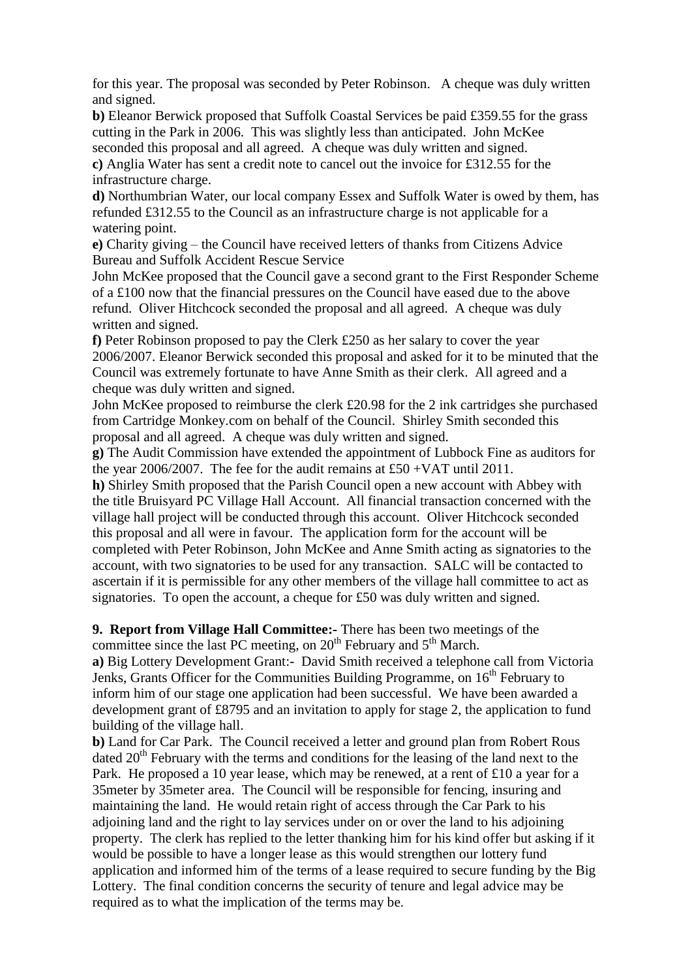for this year. The proposal was seconded by Peter Robinson. A cheque was duly written and signed.

**b)** Eleanor Berwick proposed that Suffolk Coastal Services be paid £359.55 for the grass cutting in the Park in 2006. This was slightly less than anticipated. John McKee seconded this proposal and all agreed. A cheque was duly written and signed.

**c)** Anglia Water has sent a credit note to cancel out the invoice for £312.55 for the infrastructure charge.

**d)** Northumbrian Water, our local company Essex and Suffolk Water is owed by them, has refunded £312.55 to the Council as an infrastructure charge is not applicable for a watering point.

**e)** Charity giving – the Council have received letters of thanks from Citizens Advice Bureau and Suffolk Accident Rescue Service

John McKee proposed that the Council gave a second grant to the First Responder Scheme of a £100 now that the financial pressures on the Council have eased due to the above refund. Oliver Hitchcock seconded the proposal and all agreed. A cheque was duly written and signed.

**f)** Peter Robinson proposed to pay the Clerk £250 as her salary to cover the year 2006/2007. Eleanor Berwick seconded this proposal and asked for it to be minuted that the Council was extremely fortunate to have Anne Smith as their clerk. All agreed and a cheque was duly written and signed.

John McKee proposed to reimburse the clerk £20.98 for the 2 ink cartridges she purchased from Cartridge Monkey.com on behalf of the Council. Shirley Smith seconded this proposal and all agreed. A cheque was duly written and signed.

**g)** The Audit Commission have extended the appointment of Lubbock Fine as auditors for the year 2006/2007. The fee for the audit remains at £50 +VAT until 2011.

**h)** Shirley Smith proposed that the Parish Council open a new account with Abbey with the title Bruisyard PC Village Hall Account. All financial transaction concerned with the village hall project will be conducted through this account. Oliver Hitchcock seconded this proposal and all were in favour. The application form for the account will be completed with Peter Robinson, John McKee and Anne Smith acting as signatories to the account, with two signatories to be used for any transaction. SALC will be contacted to ascertain if it is permissible for any other members of the village hall committee to act as signatories. To open the account, a cheque for £50 was duly written and signed.

**9. Report from Village Hall Committee:-** There has been two meetings of the committee since the last PC meeting, on 20<sup>th</sup> February and 5<sup>th</sup> March.

**a)** Big Lottery Development Grant:- David Smith received a telephone call from Victoria Jenks, Grants Officer for the Communities Building Programme, on  $16<sup>th</sup>$  February to inform him of our stage one application had been successful. We have been awarded a development grant of £8795 and an invitation to apply for stage 2, the application to fund building of the village hall.

**b)** Land for Car Park. The Council received a letter and ground plan from Robert Rous dated  $20<sup>th</sup>$  February with the terms and conditions for the leasing of the land next to the Park. He proposed a 10 year lease, which may be renewed, at a rent of £10 a year for a 35meter by 35meter area. The Council will be responsible for fencing, insuring and maintaining the land. He would retain right of access through the Car Park to his adjoining land and the right to lay services under on or over the land to his adjoining property. The clerk has replied to the letter thanking him for his kind offer but asking if it would be possible to have a longer lease as this would strengthen our lottery fund application and informed him of the terms of a lease required to secure funding by the Big Lottery. The final condition concerns the security of tenure and legal advice may be required as to what the implication of the terms may be.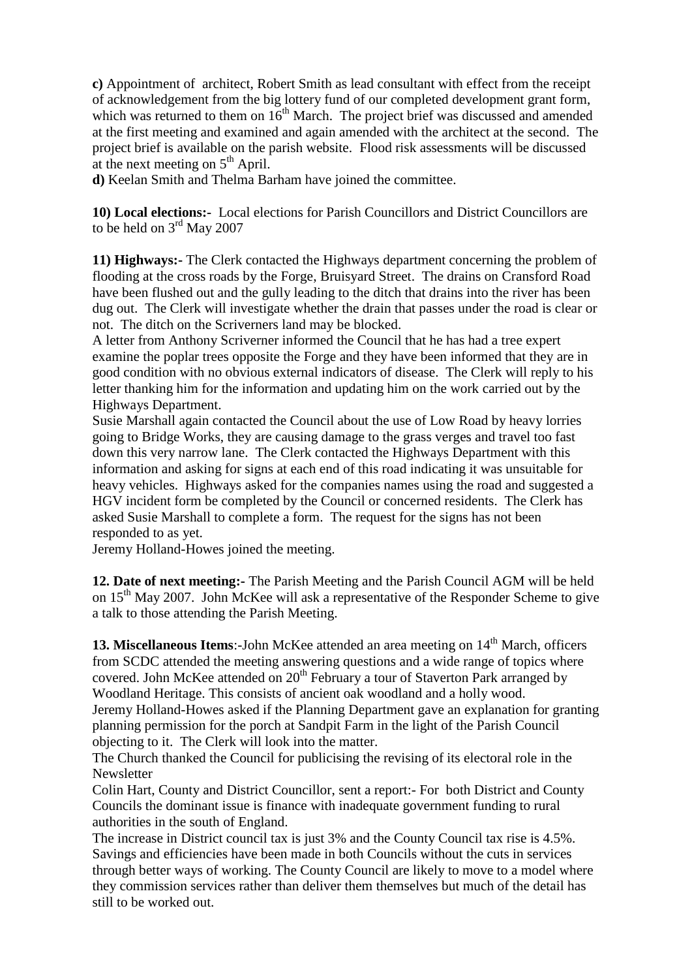**c)** Appointment of architect, Robert Smith as lead consultant with effect from the receipt of acknowledgement from the big lottery fund of our completed development grant form, which was returned to them on  $16<sup>th</sup>$  March. The project brief was discussed and amended at the first meeting and examined and again amended with the architect at the second. The project brief is available on the parish website. Flood risk assessments will be discussed at the next meeting on  $5<sup>th</sup>$  April.

**d)** Keelan Smith and Thelma Barham have joined the committee.

**10) Local elections:-** Local elections for Parish Councillors and District Councillors are to be held on  $3^{\rm rd}$  May 2007

**11) Highways:-** The Clerk contacted the Highways department concerning the problem of flooding at the cross roads by the Forge, Bruisyard Street. The drains on Cransford Road have been flushed out and the gully leading to the ditch that drains into the river has been dug out. The Clerk will investigate whether the drain that passes under the road is clear or not. The ditch on the Scriverners land may be blocked.

A letter from Anthony Scriverner informed the Council that he has had a tree expert examine the poplar trees opposite the Forge and they have been informed that they are in good condition with no obvious external indicators of disease. The Clerk will reply to his letter thanking him for the information and updating him on the work carried out by the Highways Department.

Susie Marshall again contacted the Council about the use of Low Road by heavy lorries going to Bridge Works, they are causing damage to the grass verges and travel too fast down this very narrow lane. The Clerk contacted the Highways Department with this information and asking for signs at each end of this road indicating it was unsuitable for heavy vehicles. Highways asked for the companies names using the road and suggested a HGV incident form be completed by the Council or concerned residents. The Clerk has asked Susie Marshall to complete a form. The request for the signs has not been responded to as yet.

Jeremy Holland-Howes joined the meeting.

**12. Date of next meeting:-** The Parish Meeting and the Parish Council AGM will be held on  $15<sup>th</sup>$  May 2007. John McKee will ask a representative of the Responder Scheme to give a talk to those attending the Parish Meeting.

**13. Miscellaneous Items:**-John McKee attended an area meeting on 14<sup>th</sup> March, officers from SCDC attended the meeting answering questions and a wide range of topics where covered. John McKee attended on  $20<sup>th</sup>$  February a tour of Staverton Park arranged by Woodland Heritage. This consists of ancient oak woodland and a holly wood. Jeremy Holland-Howes asked if the Planning Department gave an explanation for granting planning permission for the porch at Sandpit Farm in the light of the Parish Council objecting to it. The Clerk will look into the matter.

The Church thanked the Council for publicising the revising of its electoral role in the **Newsletter** 

Colin Hart, County and District Councillor, sent a report:- For both District and County Councils the dominant issue is finance with inadequate government funding to rural authorities in the south of England.

The increase in District council tax is just 3% and the County Council tax rise is 4.5%. Savings and efficiencies have been made in both Councils without the cuts in services through better ways of working. The County Council are likely to move to a model where they commission services rather than deliver them themselves but much of the detail has still to be worked out.